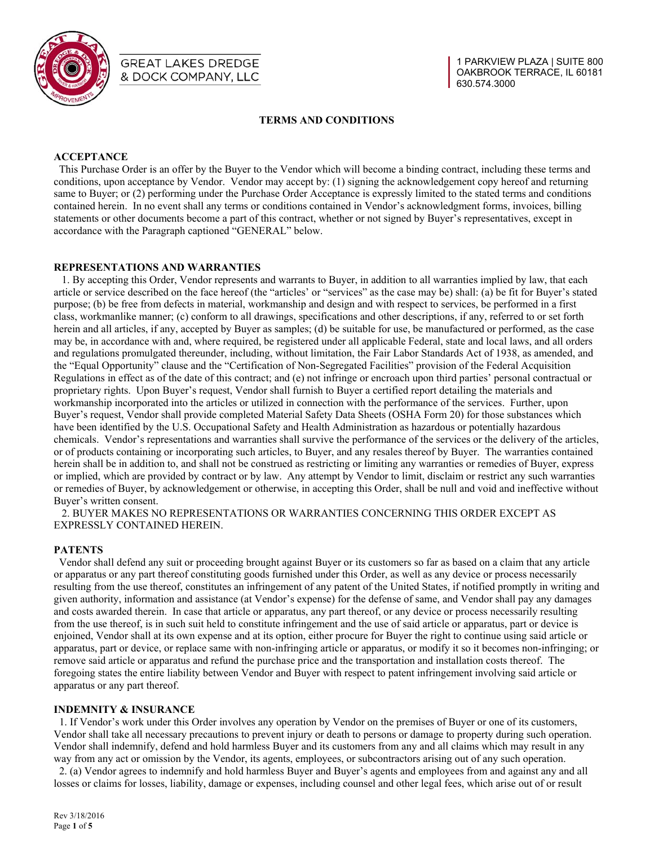

# **GREAT LAKES DREDGE** & DOCK COMPANY, LLC

# **TERMS AND CONDITIONS**

# **ACCEPTANCE**

 This Purchase Order is an offer by the Buyer to the Vendor which will become a binding contract, including these terms and conditions, upon acceptance by Vendor. Vendor may accept by: (1) signing the acknowledgement copy hereof and returning same to Buyer; or (2) performing under the Purchase Order Acceptance is expressly limited to the stated terms and conditions contained herein. In no event shall any terms or conditions contained in Vendor's acknowledgment forms, invoices, billing statements or other documents become a part of this contract, whether or not signed by Buyer's representatives, except in accordance with the Paragraph captioned "GENERAL" below.

# **REPRESENTATIONS AND WARRANTIES**

 1. By accepting this Order, Vendor represents and warrants to Buyer, in addition to all warranties implied by law, that each article or service described on the face hereof (the "articles' or "services" as the case may be) shall: (a) be fit for Buyer's stated purpose; (b) be free from defects in material, workmanship and design and with respect to services, be performed in a first class, workmanlike manner; (c) conform to all drawings, specifications and other descriptions, if any, referred to or set forth herein and all articles, if any, accepted by Buyer as samples; (d) be suitable for use, be manufactured or performed, as the case may be, in accordance with and, where required, be registered under all applicable Federal, state and local laws, and all orders and regulations promulgated thereunder, including, without limitation, the Fair Labor Standards Act of 1938, as amended, and the "Equal Opportunity" clause and the "Certification of Non-Segregated Facilities" provision of the Federal Acquisition Regulations in effect as of the date of this contract; and (e) not infringe or encroach upon third parties' personal contractual or proprietary rights. Upon Buyer's request, Vendor shall furnish to Buyer a certified report detailing the materials and workmanship incorporated into the articles or utilized in connection with the performance of the services. Further, upon Buyer's request, Vendor shall provide completed Material Safety Data Sheets (OSHA Form 20) for those substances which have been identified by the U.S. Occupational Safety and Health Administration as hazardous or potentially hazardous chemicals. Vendor's representations and warranties shall survive the performance of the services or the delivery of the articles, or of products containing or incorporating such articles, to Buyer, and any resales thereof by Buyer. The warranties contained herein shall be in addition to, and shall not be construed as restricting or limiting any warranties or remedies of Buyer, express or implied, which are provided by contract or by law. Any attempt by Vendor to limit, disclaim or restrict any such warranties or remedies of Buyer, by acknowledgement or otherwise, in accepting this Order, shall be null and void and ineffective without Buyer's written consent.

 2. BUYER MAKES NO REPRESENTATIONS OR WARRANTIES CONCERNING THIS ORDER EXCEPT AS EXPRESSLY CONTAINED HEREIN.

## **PATENTS**

 Vendor shall defend any suit or proceeding brought against Buyer or its customers so far as based on a claim that any article or apparatus or any part thereof constituting goods furnished under this Order, as well as any device or process necessarily resulting from the use thereof, constitutes an infringement of any patent of the United States, if notified promptly in writing and given authority, information and assistance (at Vendor's expense) for the defense of same, and Vendor shall pay any damages and costs awarded therein. In case that article or apparatus, any part thereof, or any device or process necessarily resulting from the use thereof, is in such suit held to constitute infringement and the use of said article or apparatus, part or device is enjoined, Vendor shall at its own expense and at its option, either procure for Buyer the right to continue using said article or apparatus, part or device, or replace same with non-infringing article or apparatus, or modify it so it becomes non-infringing; or remove said article or apparatus and refund the purchase price and the transportation and installation costs thereof. The foregoing states the entire liability between Vendor and Buyer with respect to patent infringement involving said article or apparatus or any part thereof.

## **INDEMNITY & INSURANCE**

1. If Vendor's work under this Order involves any operation by Vendor on the premises of Buyer or one of its customers, Vendor shall take all necessary precautions to prevent injury or death to persons or damage to property during such operation. Vendor shall indemnify, defend and hold harmless Buyer and its customers from any and all claims which may result in any way from any act or omission by the Vendor, its agents, employees, or subcontractors arising out of any such operation. 2. (a) Vendor agrees to indemnify and hold harmless Buyer and Buyer's agents and employees from and against any and all losses or claims for losses, liability, damage or expenses, including counsel and other legal fees, which arise out of or result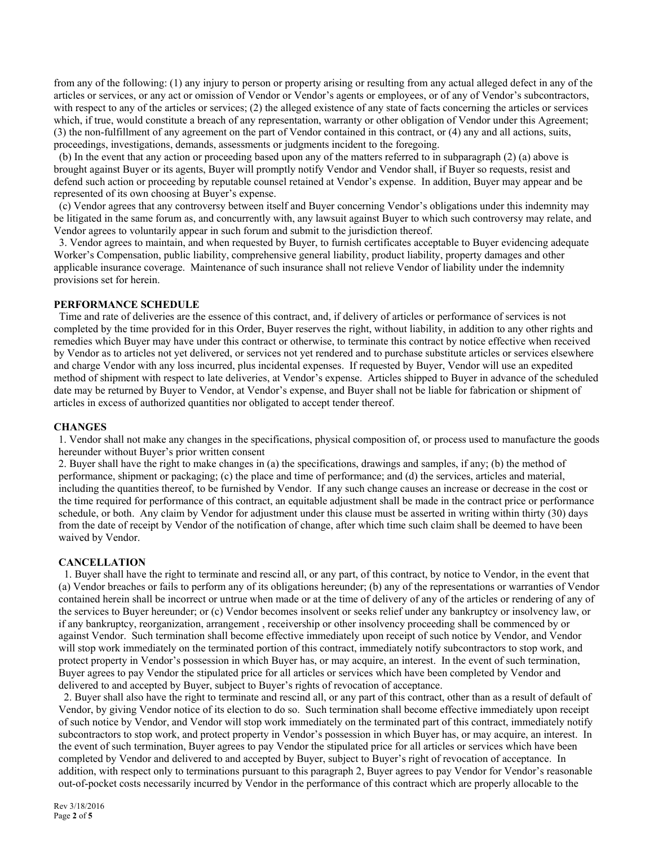from any of the following: (1) any injury to person or property arising or resulting from any actual alleged defect in any of the articles or services, or any act or omission of Vendor or Vendor's agents or employees, or of any of Vendor's subcontractors, with respect to any of the articles or services; (2) the alleged existence of any state of facts concerning the articles or services which, if true, would constitute a breach of any representation, warranty or other obligation of Vendor under this Agreement; (3) the non-fulfillment of any agreement on the part of Vendor contained in this contract, or (4) any and all actions, suits, proceedings, investigations, demands, assessments or judgments incident to the foregoing.

 (b) In the event that any action or proceeding based upon any of the matters referred to in subparagraph (2) (a) above is brought against Buyer or its agents, Buyer will promptly notify Vendor and Vendor shall, if Buyer so requests, resist and defend such action or proceeding by reputable counsel retained at Vendor's expense. In addition, Buyer may appear and be represented of its own choosing at Buyer's expense.

 (c) Vendor agrees that any controversy between itself and Buyer concerning Vendor's obligations under this indemnity may be litigated in the same forum as, and concurrently with, any lawsuit against Buyer to which such controversy may relate, and Vendor agrees to voluntarily appear in such forum and submit to the jurisdiction thereof.

 3. Vendor agrees to maintain, and when requested by Buyer, to furnish certificates acceptable to Buyer evidencing adequate Worker's Compensation, public liability, comprehensive general liability, product liability, property damages and other applicable insurance coverage. Maintenance of such insurance shall not relieve Vendor of liability under the indemnity provisions set for herein.

#### **PERFORMANCE SCHEDULE**

 Time and rate of deliveries are the essence of this contract, and, if delivery of articles or performance of services is not completed by the time provided for in this Order, Buyer reserves the right, without liability, in addition to any other rights and remedies which Buyer may have under this contract or otherwise, to terminate this contract by notice effective when received by Vendor as to articles not yet delivered, or services not yet rendered and to purchase substitute articles or services elsewhere and charge Vendor with any loss incurred, plus incidental expenses. If requested by Buyer, Vendor will use an expedited method of shipment with respect to late deliveries, at Vendor's expense. Articles shipped to Buyer in advance of the scheduled date may be returned by Buyer to Vendor, at Vendor's expense, and Buyer shall not be liable for fabrication or shipment of articles in excess of authorized quantities nor obligated to accept tender thereof.

#### **CHANGES**

1. Vendor shall not make any changes in the specifications, physical composition of, or process used to manufacture the goods hereunder without Buyer's prior written consent

2. Buyer shall have the right to make changes in (a) the specifications, drawings and samples, if any; (b) the method of performance, shipment or packaging; (c) the place and time of performance; and (d) the services, articles and material, including the quantities thereof, to be furnished by Vendor. If any such change causes an increase or decrease in the cost or the time required for performance of this contract, an equitable adjustment shall be made in the contract price or performance schedule, or both. Any claim by Vendor for adjustment under this clause must be asserted in writing within thirty (30) days from the date of receipt by Vendor of the notification of change, after which time such claim shall be deemed to have been waived by Vendor.

#### **CANCELLATION**

 1. Buyer shall have the right to terminate and rescind all, or any part, of this contract, by notice to Vendor, in the event that (a) Vendor breaches or fails to perform any of its obligations hereunder; (b) any of the representations or warranties of Vendor contained herein shall be incorrect or untrue when made or at the time of delivery of any of the articles or rendering of any of the services to Buyer hereunder; or (c) Vendor becomes insolvent or seeks relief under any bankruptcy or insolvency law, or if any bankruptcy, reorganization, arrangement , receivership or other insolvency proceeding shall be commenced by or against Vendor. Such termination shall become effective immediately upon receipt of such notice by Vendor, and Vendor will stop work immediately on the terminated portion of this contract, immediately notify subcontractors to stop work, and protect property in Vendor's possession in which Buyer has, or may acquire, an interest. In the event of such termination, Buyer agrees to pay Vendor the stipulated price for all articles or services which have been completed by Vendor and delivered to and accepted by Buyer, subject to Buyer's rights of revocation of acceptance.

 2. Buyer shall also have the right to terminate and rescind all, or any part of this contract, other than as a result of default of Vendor, by giving Vendor notice of its election to do so. Such termination shall become effective immediately upon receipt of such notice by Vendor, and Vendor will stop work immediately on the terminated part of this contract, immediately notify subcontractors to stop work, and protect property in Vendor's possession in which Buyer has, or may acquire, an interest. In the event of such termination, Buyer agrees to pay Vendor the stipulated price for all articles or services which have been completed by Vendor and delivered to and accepted by Buyer, subject to Buyer's right of revocation of acceptance. In addition, with respect only to terminations pursuant to this paragraph 2, Buyer agrees to pay Vendor for Vendor's reasonable out-of-pocket costs necessarily incurred by Vendor in the performance of this contract which are properly allocable to the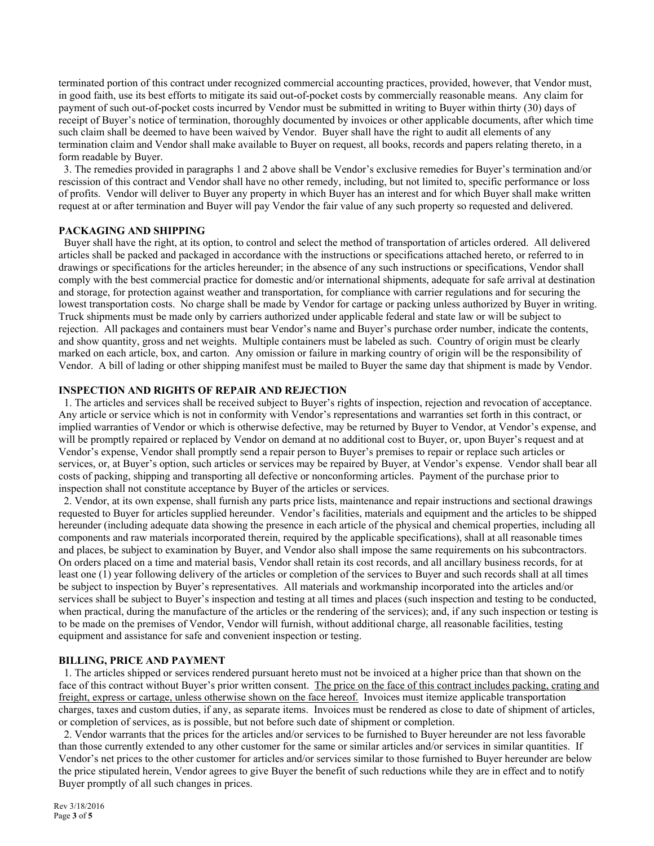terminated portion of this contract under recognized commercial accounting practices, provided, however, that Vendor must, in good faith, use its best efforts to mitigate its said out-of-pocket costs by commercially reasonable means. Any claim for payment of such out-of-pocket costs incurred by Vendor must be submitted in writing to Buyer within thirty (30) days of receipt of Buyer's notice of termination, thoroughly documented by invoices or other applicable documents, after which time such claim shall be deemed to have been waived by Vendor. Buyer shall have the right to audit all elements of any termination claim and Vendor shall make available to Buyer on request, all books, records and papers relating thereto, in a form readable by Buyer.

 3. The remedies provided in paragraphs 1 and 2 above shall be Vendor's exclusive remedies for Buyer's termination and/or rescission of this contract and Vendor shall have no other remedy, including, but not limited to, specific performance or loss of profits. Vendor will deliver to Buyer any property in which Buyer has an interest and for which Buyer shall make written request at or after termination and Buyer will pay Vendor the fair value of any such property so requested and delivered.

# **PACKAGING AND SHIPPING**

 Buyer shall have the right, at its option, to control and select the method of transportation of articles ordered. All delivered articles shall be packed and packaged in accordance with the instructions or specifications attached hereto, or referred to in drawings or specifications for the articles hereunder; in the absence of any such instructions or specifications, Vendor shall comply with the best commercial practice for domestic and/or international shipments, adequate for safe arrival at destination and storage, for protection against weather and transportation, for compliance with carrier regulations and for securing the lowest transportation costs. No charge shall be made by Vendor for cartage or packing unless authorized by Buyer in writing. Truck shipments must be made only by carriers authorized under applicable federal and state law or will be subject to rejection. All packages and containers must bear Vendor's name and Buyer's purchase order number, indicate the contents, and show quantity, gross and net weights. Multiple containers must be labeled as such. Country of origin must be clearly marked on each article, box, and carton. Any omission or failure in marking country of origin will be the responsibility of Vendor. A bill of lading or other shipping manifest must be mailed to Buyer the same day that shipment is made by Vendor.

# **INSPECTION AND RIGHTS OF REPAIR AND REJECTION**

1. The articles and services shall be received subject to Buyer's rights of inspection, rejection and revocation of acceptance. Any article or service which is not in conformity with Vendor's representations and warranties set forth in this contract, or implied warranties of Vendor or which is otherwise defective, may be returned by Buyer to Vendor, at Vendor's expense, and will be promptly repaired or replaced by Vendor on demand at no additional cost to Buyer, or, upon Buyer's request and at Vendor's expense, Vendor shall promptly send a repair person to Buyer's premises to repair or replace such articles or services, or, at Buyer's option, such articles or services may be repaired by Buyer, at Vendor's expense. Vendor shall bear all costs of packing, shipping and transporting all defective or nonconforming articles. Payment of the purchase prior to inspection shall not constitute acceptance by Buyer of the articles or services.

 2. Vendor, at its own expense, shall furnish any parts price lists, maintenance and repair instructions and sectional drawings requested to Buyer for articles supplied hereunder. Vendor's facilities, materials and equipment and the articles to be shipped hereunder (including adequate data showing the presence in each article of the physical and chemical properties, including all components and raw materials incorporated therein, required by the applicable specifications), shall at all reasonable times and places, be subject to examination by Buyer, and Vendor also shall impose the same requirements on his subcontractors. On orders placed on a time and material basis, Vendor shall retain its cost records, and all ancillary business records, for at least one (1) year following delivery of the articles or completion of the services to Buyer and such records shall at all times be subject to inspection by Buyer's representatives. All materials and workmanship incorporated into the articles and/or services shall be subject to Buyer's inspection and testing at all times and places (such inspection and testing to be conducted, when practical, during the manufacture of the articles or the rendering of the services); and, if any such inspection or testing is to be made on the premises of Vendor, Vendor will furnish, without additional charge, all reasonable facilities, testing equipment and assistance for safe and convenient inspection or testing.

## **BILLING, PRICE AND PAYMENT**

 1. The articles shipped or services rendered pursuant hereto must not be invoiced at a higher price than that shown on the face of this contract without Buyer's prior written consent. The price on the face of this contract includes packing, crating and freight, express or cartage, unless otherwise shown on the face hereof. Invoices must itemize applicable transportation charges, taxes and custom duties, if any, as separate items. Invoices must be rendered as close to date of shipment of articles, or completion of services, as is possible, but not before such date of shipment or completion.

 2. Vendor warrants that the prices for the articles and/or services to be furnished to Buyer hereunder are not less favorable than those currently extended to any other customer for the same or similar articles and/or services in similar quantities. If Vendor's net prices to the other customer for articles and/or services similar to those furnished to Buyer hereunder are below the price stipulated herein, Vendor agrees to give Buyer the benefit of such reductions while they are in effect and to notify Buyer promptly of all such changes in prices.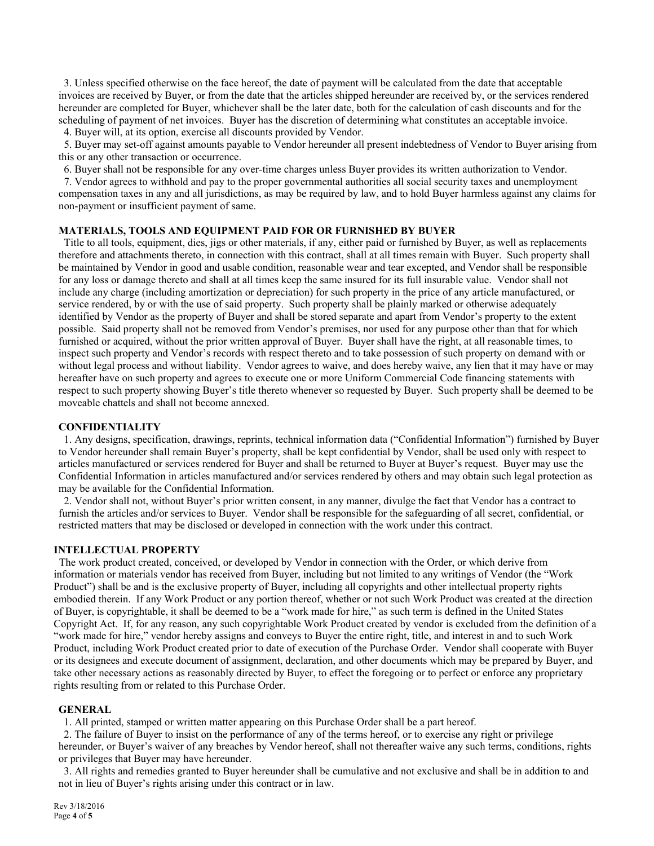3. Unless specified otherwise on the face hereof, the date of payment will be calculated from the date that acceptable invoices are received by Buyer, or from the date that the articles shipped hereunder are received by, or the services rendered hereunder are completed for Buyer, whichever shall be the later date, both for the calculation of cash discounts and for the scheduling of payment of net invoices. Buyer has the discretion of determining what constitutes an acceptable invoice. 4. Buyer will, at its option, exercise all discounts provided by Vendor.

 5. Buyer may set-off against amounts payable to Vendor hereunder all present indebtedness of Vendor to Buyer arising from this or any other transaction or occurrence.

6. Buyer shall not be responsible for any over-time charges unless Buyer provides its written authorization to Vendor.

 7. Vendor agrees to withhold and pay to the proper governmental authorities all social security taxes and unemployment compensation taxes in any and all jurisdictions, as may be required by law, and to hold Buyer harmless against any claims for non-payment or insufficient payment of same.

# **MATERIALS, TOOLS AND EQUIPMENT PAID FOR OR FURNISHED BY BUYER**

 Title to all tools, equipment, dies, jigs or other materials, if any, either paid or furnished by Buyer, as well as replacements therefore and attachments thereto, in connection with this contract, shall at all times remain with Buyer. Such property shall be maintained by Vendor in good and usable condition, reasonable wear and tear excepted, and Vendor shall be responsible for any loss or damage thereto and shall at all times keep the same insured for its full insurable value. Vendor shall not include any charge (including amortization or depreciation) for such property in the price of any article manufactured, or service rendered, by or with the use of said property. Such property shall be plainly marked or otherwise adequately identified by Vendor as the property of Buyer and shall be stored separate and apart from Vendor's property to the extent possible. Said property shall not be removed from Vendor's premises, nor used for any purpose other than that for which furnished or acquired, without the prior written approval of Buyer. Buyer shall have the right, at all reasonable times, to inspect such property and Vendor's records with respect thereto and to take possession of such property on demand with or without legal process and without liability. Vendor agrees to waive, and does hereby waive, any lien that it may have or may hereafter have on such property and agrees to execute one or more Uniform Commercial Code financing statements with respect to such property showing Buyer's title thereto whenever so requested by Buyer. Such property shall be deemed to be moveable chattels and shall not become annexed.

## **CONFIDENTIALITY**

 1. Any designs, specification, drawings, reprints, technical information data ("Confidential Information") furnished by Buyer to Vendor hereunder shall remain Buyer's property, shall be kept confidential by Vendor, shall be used only with respect to articles manufactured or services rendered for Buyer and shall be returned to Buyer at Buyer's request. Buyer may use the Confidential Information in articles manufactured and/or services rendered by others and may obtain such legal protection as may be available for the Confidential Information.

 2. Vendor shall not, without Buyer's prior written consent, in any manner, divulge the fact that Vendor has a contract to furnish the articles and/or services to Buyer. Vendor shall be responsible for the safeguarding of all secret, confidential, or restricted matters that may be disclosed or developed in connection with the work under this contract.

## **INTELLECTUAL PROPERTY**

 The work product created, conceived, or developed by Vendor in connection with the Order, or which derive from information or materials vendor has received from Buyer, including but not limited to any writings of Vendor (the "Work Product") shall be and is the exclusive property of Buyer, including all copyrights and other intellectual property rights embodied therein. If any Work Product or any portion thereof, whether or not such Work Product was created at the direction of Buyer, is copyrightable, it shall be deemed to be a "work made for hire," as such term is defined in the United States Copyright Act. If, for any reason, any such copyrightable Work Product created by vendor is excluded from the definition of a "work made for hire," vendor hereby assigns and conveys to Buyer the entire right, title, and interest in and to such Work Product, including Work Product created prior to date of execution of the Purchase Order. Vendor shall cooperate with Buyer or its designees and execute document of assignment, declaration, and other documents which may be prepared by Buyer, and take other necessary actions as reasonably directed by Buyer, to effect the foregoing or to perfect or enforce any proprietary rights resulting from or related to this Purchase Order.

## **GENERAL**

1. All printed, stamped or written matter appearing on this Purchase Order shall be a part hereof.

2. The failure of Buyer to insist on the performance of any of the terms hereof, or to exercise any right or privilege

hereunder, or Buyer's waiver of any breaches by Vendor hereof, shall not thereafter waive any such terms, conditions, rights or privileges that Buyer may have hereunder.

 3. All rights and remedies granted to Buyer hereunder shall be cumulative and not exclusive and shall be in addition to and not in lieu of Buyer's rights arising under this contract or in law.